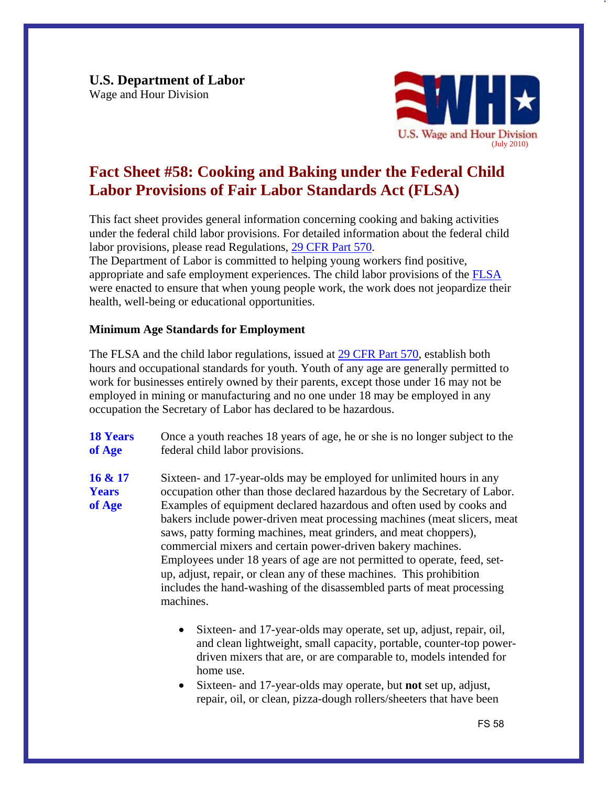**U.S. Department of Labor**  Wage and Hour Division



## **Fact Sheet #58: Cooking and Baking under the Federal Child Labor Provisions of Fair Labor Standards Act (FLSA)**

This fact sheet provides general information concerning cooking and baking activities under the federal child labor provisions. For detailed information about the federal child labor provisions, please read Regulations, [29 CFR Part 570.](http://www.dol.gov/cgi-bin/leave-dol.asp?exiturl=http://s.dol.gov/87&exitTitle=www.gpoaccess.gov&fedpage=yes)

The Department of Labor is committed to helping young workers find positive, appropriate and safe employment experiences. The child labor provisions of the [FLSA](http://www.dol.gov/whd/flsa/index.htm)  were enacted to ensure that when young people work, the work does not jeopardize their health, well-being or educational opportunities.

## **Minimum Age Standards for Employment**

The FLSA and the child labor regulations, issued at [29 CFR Part 570](http://www.dol.gov/cgi-bin/leave-dol.asp?exiturl=http://s.dol.gov/87&exitTitle=www.gpoaccess.gov&fedpage=yes), establish both hours and occupational standards for youth. Youth of any age are generally permitted to work for businesses entirely owned by their parents, except those under 16 may not be employed in mining or manufacturing and no one under 18 may be employed in any occupation the Secretary of Labor has declared to be hazardous.

**18 Years 18 Years** Once a youth reaches 18 years of age, he or she is no longer subject to the **of Age** federal child labor provisions.

**Years** of Age **16 & 17** Sixteen- and 17-year-olds may be employed for unlimited hours in any occupation other than those declared hazardous by the Secretary of Labor. Examples of equipment declared hazardous and often used by cooks and bakers include power-driven meat processing machines (meat slicers, meat saws, patty forming machines, meat grinders, and meat choppers), commercial mixers and certain power-driven bakery machines. Employees under 18 years of age are not permitted to operate, feed, setup, adjust, repair, or clean any of these machines. This prohibition includes the hand-washing of the disassembled parts of meat processing machines.

- Sixteen- and 17-year-olds may operate, set up, adjust, repair, oil, and clean lightweight, small capacity, portable, counter-top powerdriven mixers that are, or are comparable to, models intended for home use.
- Sixteen- and 17-year-olds may operate, but **not** set up, adjust, repair, oil, or clean, pizza-dough rollers/sheeters that have been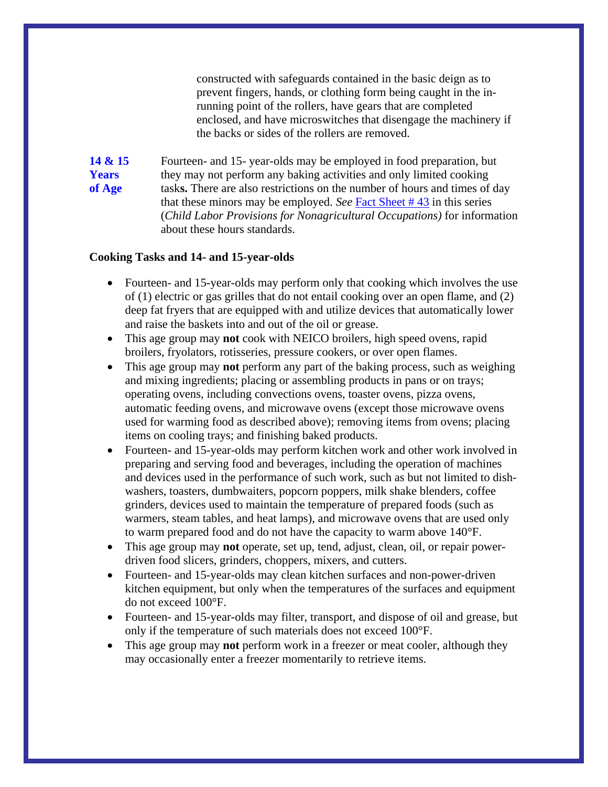constructed with safeguards contained in the basic deign as to prevent fingers, hands, or clothing form being caught in the inrunning point of the rollers, have gears that are completed enclosed, and have microswitches that disengage the machinery if the backs or sides of the rollers are removed.

**14 & 15** Fourteen- and 15- year-olds may be employed in food preparation, but **Years** they may not perform any baking activities and only limited cooking **of Age** task**s.** There are also restrictions on the number of hours and times of day that these minors may be employed. *See* [Fact Sheet # 43](http://www.dol.gov/whd/regs/compliance/whdfs43.htm) in this series (*Child Labor Provisions for Nonagricultural Occupations)* for information about these hours standards.

## **Cooking Tasks and 14- and 15-year-olds**

- Fourteen- and 15-year-olds may perform only that cooking which involves the use of (1) electric or gas grilles that do not entail cooking over an open flame, and (2) deep fat fryers that are equipped with and utilize devices that automatically lower and raise the baskets into and out of the oil or grease.
- • This age group may **not** cook with NEICO broilers, high speed ovens, rapid broilers, fryolators, rotisseries, pressure cookers, or over open flames.
- This age group may **not** perform any part of the baking process, such as weighing and mixing ingredients; placing or assembling products in pans or on trays; operating ovens, including convections ovens, toaster ovens, pizza ovens, automatic feeding ovens, and microwave ovens (except those microwave ovens used for warming food as described above); removing items from ovens; placing items on cooling trays; and finishing baked products.
- Fourteen- and 15-year-olds may perform kitchen work and other work involved in preparing and serving food and beverages, including the operation of machines and devices used in the performance of such work, such as but not limited to dishwashers, toasters, dumbwaiters, popcorn poppers, milk shake blenders, coffee grinders, devices used to maintain the temperature of prepared foods (such as warmers, steam tables, and heat lamps), and microwave ovens that are used only to warm prepared food and do not have the capacity to warm above 140°F.
- • This age group may **not** operate, set up, tend, adjust, clean, oil, or repair powerdriven food slicers, grinders, choppers, mixers, and cutters.
- Fourteen- and 15-year-olds may clean kitchen surfaces and non-power-driven kitchen equipment, but only when the temperatures of the surfaces and equipment do not exceed 100°F.
- Fourteen- and 15-year-olds may filter, transport, and dispose of oil and grease, but only if the temperature of such materials does not exceed 100°F.
- This age group may **not** perform work in a freezer or meat cooler, although they may occasionally enter a freezer momentarily to retrieve items.